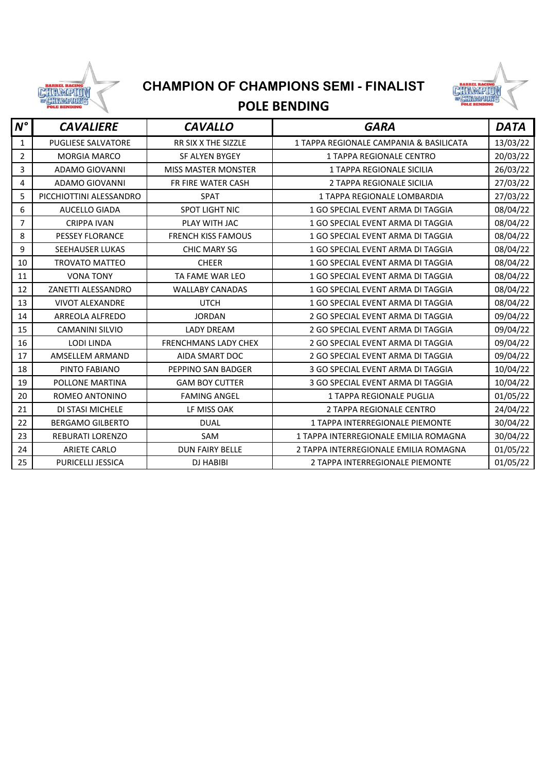

## **CHAMPION OF CHAMPIONS SEMI - FINALIST**



## **POLE BENDING**

| $N^{\circ}$    | <b>CAVALIERE</b>          | <b>CAVALLO</b>              | <b>GARA</b>                             | <b>DATA</b> |
|----------------|---------------------------|-----------------------------|-----------------------------------------|-------------|
| $\mathbf{1}$   | <b>PUGLIESE SALVATORE</b> | RR SIX X THE SIZZLE         | 1 TAPPA REGIONALE CAMPANIA & BASILICATA | 13/03/22    |
| $\overline{2}$ | <b>MORGIA MARCO</b>       | <b>SF ALYEN BYGEY</b>       | 1 TAPPA REGIONALE CENTRO                | 20/03/22    |
| 3              | ADAMO GIOVANNI            | <b>MISS MASTER MONSTER</b>  | <b>1 TAPPA REGIONALE SICILIA</b>        | 26/03/22    |
| 4              | <b>ADAMO GIOVANNI</b>     | <b>FR FIRE WATER CASH</b>   | 2 TAPPA REGIONALE SICILIA               | 27/03/22    |
| 5              | PICCHIOTTINI ALESSANDRO   | <b>SPAT</b>                 | 1 TAPPA REGIONALE LOMBARDIA             | 27/03/22    |
| 6              | <b>AUCELLO GIADA</b>      | <b>SPOT LIGHT NIC</b>       | 1 GO SPECIAL EVENT ARMA DI TAGGIA       | 08/04/22    |
| $\overline{7}$ | <b>CRIPPA IVAN</b>        | PLAY WITH JAC               | 1 GO SPECIAL EVENT ARMA DI TAGGIA       | 08/04/22    |
| 8              | <b>PESSEY FLORANCE</b>    | <b>FRENCH KISS FAMOUS</b>   | 1 GO SPECIAL EVENT ARMA DI TAGGIA       | 08/04/22    |
| 9              | <b>SEEHAUSER LUKAS</b>    | <b>CHIC MARY SG</b>         | 1 GO SPECIAL EVENT ARMA DI TAGGIA       | 08/04/22    |
| 10             | <b>TROVATO MATTEO</b>     | <b>CHEER</b>                | 1 GO SPECIAL EVENT ARMA DI TAGGIA       | 08/04/22    |
| 11             | <b>VONA TONY</b>          | TA FAME WAR LEO             | 1 GO SPECIAL EVENT ARMA DI TAGGIA       | 08/04/22    |
| 12             | ZANETTI ALESSANDRO        | <b>WALLABY CANADAS</b>      | 1 GO SPECIAL EVENT ARMA DI TAGGIA       | 08/04/22    |
| 13             | <b>VIVOT ALEXANDRE</b>    | <b>UTCH</b>                 | 1 GO SPECIAL EVENT ARMA DI TAGGIA       | 08/04/22    |
| 14             | <b>ARREOLA ALFREDO</b>    | <b>JORDAN</b>               | 2 GO SPECIAL EVENT ARMA DI TAGGIA       | 09/04/22    |
| 15             | <b>CAMANINI SILVIO</b>    | <b>LADY DREAM</b>           | 2 GO SPECIAL EVENT ARMA DI TAGGIA       | 09/04/22    |
| 16             | <b>LODI LINDA</b>         | <b>FRENCHMANS LADY CHEX</b> | 2 GO SPECIAL EVENT ARMA DI TAGGIA       | 09/04/22    |
| 17             | AMSELLEM ARMAND           | AIDA SMART DOC              | 2 GO SPECIAL EVENT ARMA DI TAGGIA       | 09/04/22    |
| 18             | PINTO FABIANO             | PEPPINO SAN BADGER          | 3 GO SPECIAL EVENT ARMA DI TAGGIA       | 10/04/22    |
| 19             | POLLONE MARTINA           | <b>GAM BOY CUTTER</b>       | 3 GO SPECIAL EVENT ARMA DI TAGGIA       | 10/04/22    |
| 20             | ROMEO ANTONINO            | <b>FAMING ANGEL</b>         | <b>1 TAPPA REGIONALE PUGLIA</b>         | 01/05/22    |
| 21             | DI STASI MICHELE          | LF MISS OAK                 | 2 TAPPA REGIONALE CENTRO                | 24/04/22    |
| 22             | <b>BERGAMO GILBERTO</b>   | <b>DUAL</b>                 | 1 TAPPA INTERREGIONALE PIEMONTE         | 30/04/22    |
| 23             | REBURATI LORENZO          | SAM                         | 1 TAPPA INTERREGIONALE EMILIA ROMAGNA   | 30/04/22    |
| 24             | <b>ARIETE CARLO</b>       | <b>DUN FAIRY BELLE</b>      | 2 TAPPA INTERREGIONALE EMILIA ROMAGNA   | 01/05/22    |
| 25             | PURICELLI JESSICA         | <b>DJ HABIBI</b>            | 2 TAPPA INTERREGIONALE PIEMONTE         | 01/05/22    |